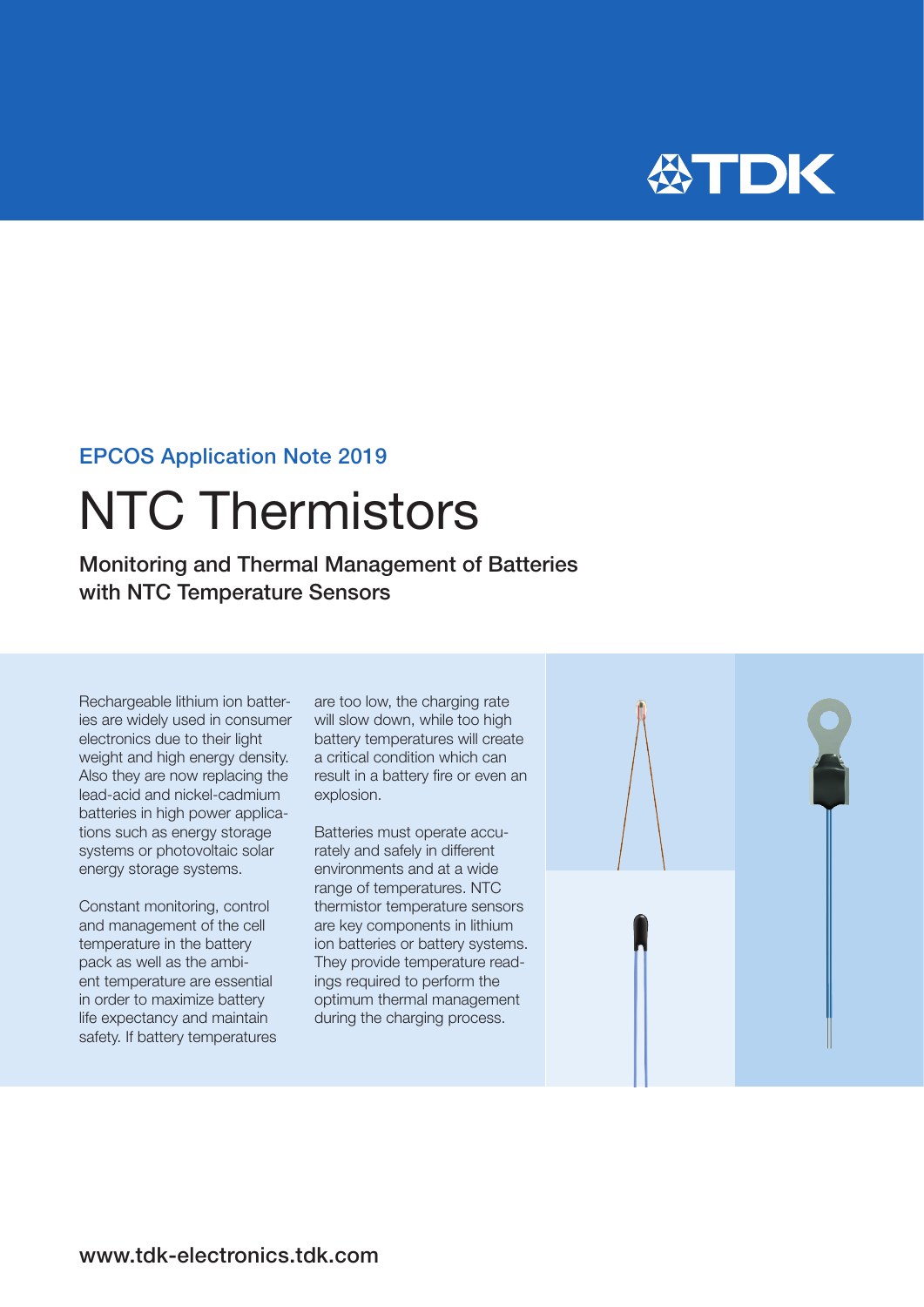

### EPCOS Application Note 2019

# NTC Thermistors

Monitoring and Thermal Management of Batteries with NTC Temperature Sensors

Rechargeable lithium ion batteries are widely used in consumer electronics due to their light weight and high energy density. Also they are now replacing the lead-acid and nickel-cadmium batteries in high power applications such as energy storage systems or photovoltaic solar energy storage systems.

Constant monitoring, control and management of the cell temperature in the battery pack as well as the ambient temperature are essential in order to maximize battery life expectancy and maintain safety. If battery temperatures are too low, the charging rate will slow down, while too high battery temperatures will create a critical condition which can result in a battery fire or even an explosion.

Batteries must operate accurately and safely in different environments and at a wide range of temperatures. NTC thermistor temperature sensors are key components in lithium ion batteries or battery systems. They provide temperature readings required to perform the optimum thermal management during the charging process.

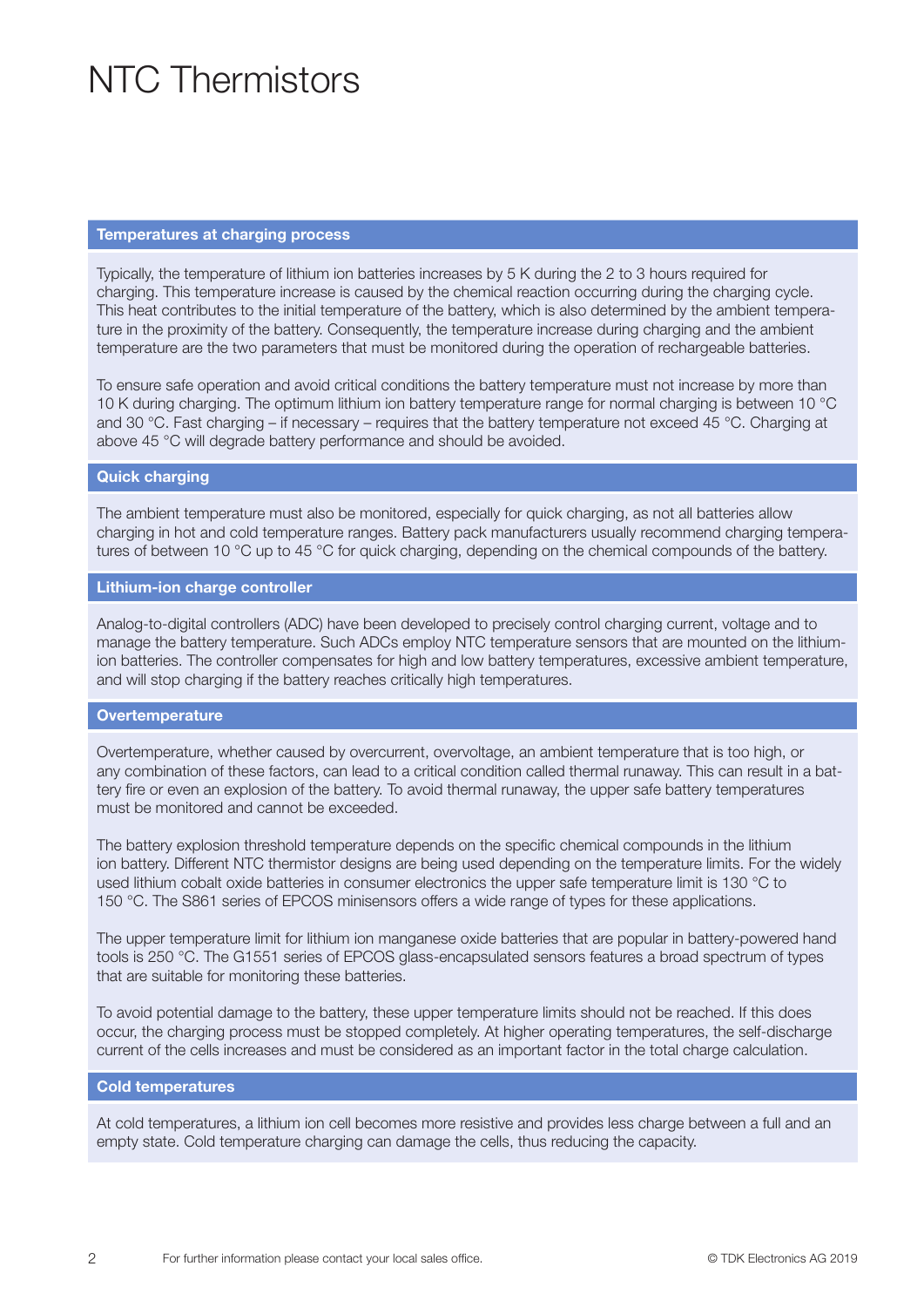### NTC Thermistors

#### Temperatures at charging process

Typically, the temperature of lithium ion batteries increases by 5 K during the 2 to 3 hours required for charging. This temperature increase is caused by the chemical reaction occurring during the charging cycle. This heat contributes to the initial temperature of the battery, which is also determined by the ambient temperature in the proximity of the battery. Consequently, the temperature increase during charging and the ambient temperature are the two parameters that must be monitored during the operation of rechargeable batteries.

To ensure safe operation and avoid critical conditions the battery temperature must not increase by more than 10 K during charging. The optimum lithium ion battery temperature range for normal charging is between 10 °C and 30 °C. Fast charging – if necessary – requires that the battery temperature not exceed 45 °C. Charging at above 45 °C will degrade battery performance and should be avoided.

#### Quick charging

The ambient temperature must also be monitored, especially for quick charging, as not all batteries allow charging in hot and cold temperature ranges. Battery pack manufacturers usually recommend charging temperatures of between 10 °C up to 45 °C for quick charging, depending on the chemical compounds of the battery.

#### Lithium-ion charge controller

Analog-to-digital controllers (ADC) have been developed to precisely control charging current, voltage and to manage the battery temperature. Such ADCs employ NTC temperature sensors that are mounted on the lithiumion batteries. The controller compensates for high and low battery temperatures, excessive ambient temperature, and will stop charging if the battery reaches critically high temperatures.

#### **Overtemperature**

Overtemperature, whether caused by overcurrent, overvoltage, an ambient temperature that is too high, or any combination of these factors, can lead to a critical condition called thermal runaway. This can result in a battery fire or even an explosion of the battery. To avoid thermal runaway, the upper safe battery temperatures must be monitored and cannot be exceeded.

The battery explosion threshold temperature depends on the specific chemical compounds in the lithium ion battery. Different NTC thermistor designs are being used depending on the temperature limits. For the widely used lithium cobalt oxide batteries in consumer electronics the upper safe temperature limit is 130 °C to 150 °C. The S861 series of EPCOS minisensors offers a wide range of types for these applications.

The upper temperature limit for lithium ion manganese oxide batteries that are popular in battery-powered hand tools is 250 °C. The G1551 series of EPCOS glass-encapsulated sensors features a broad spectrum of types that are suitable for monitoring these batteries.

To avoid potential damage to the battery, these upper temperature limits should not be reached. If this does occur, the charging process must be stopped completely. At higher operating temperatures, the self-discharge current of the cells increases and must be considered as an important factor in the total charge calculation.

#### Cold temperatures

At cold temperatures, a lithium ion cell becomes more resistive and provides less charge between a full and an empty state. Cold temperature charging can damage the cells, thus reducing the capacity.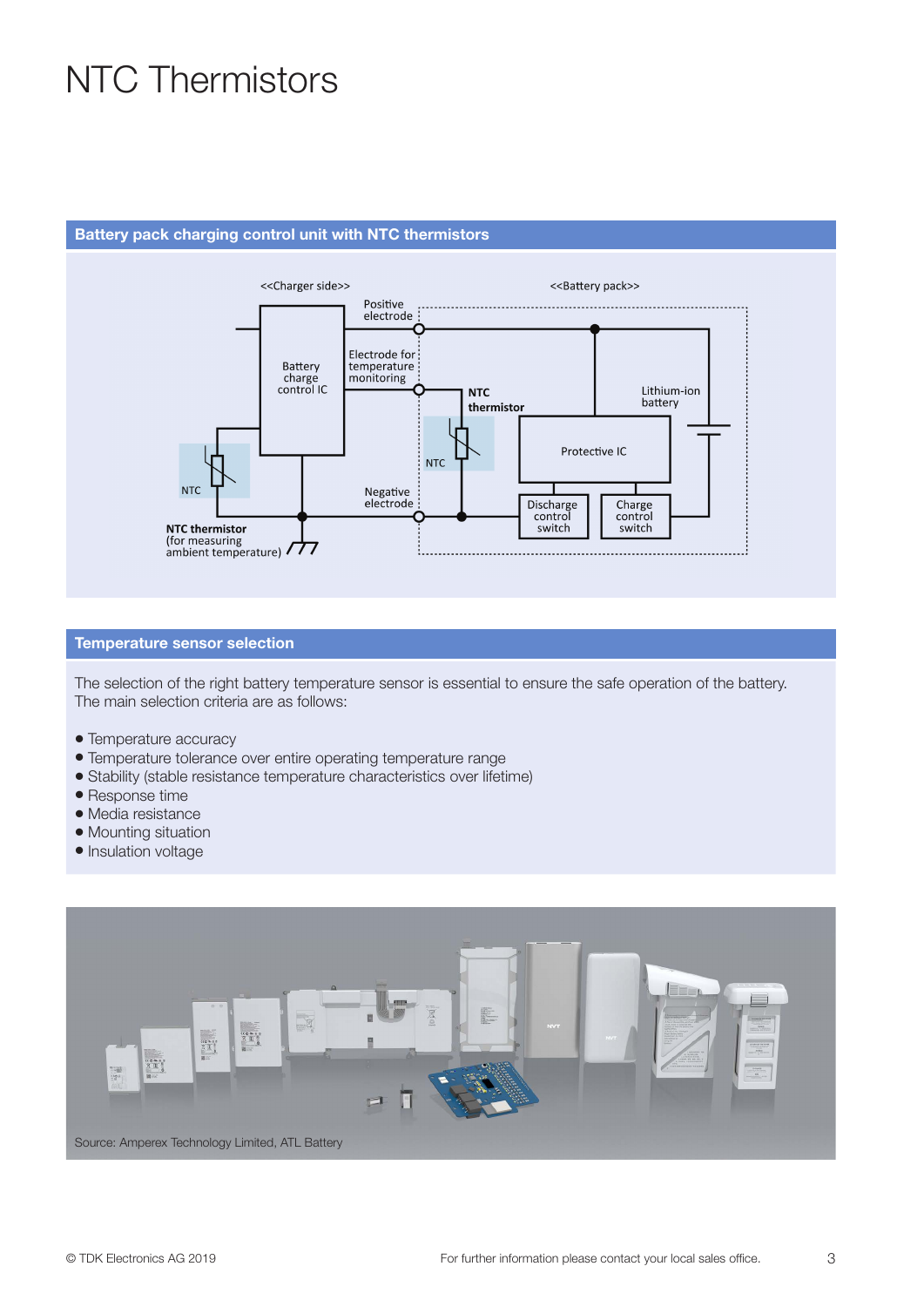## NTC Thermistors

#### Battery pack charging control unit with NTC thermistors



#### Temperature sensor selection

The selection of the right battery temperature sensor is essential to ensure the safe operation of the battery. The main selection criteria are as follows:

- Temperature accuracy
- Temperature tolerance over entire operating temperature range
- Stability (stable resistance temperature characteristics over lifetime)
- Response time
- · Media resistance
- Mounting situation
- Insulation voltage